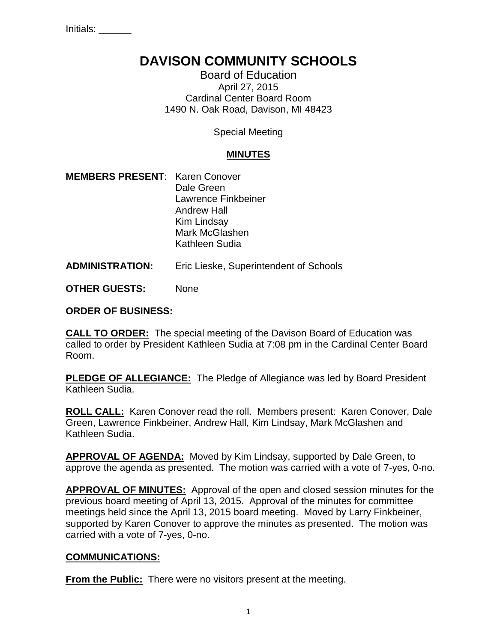| Initials: |  |
|-----------|--|
|-----------|--|

# **DAVISON COMMUNITY SCHOOLS**

Board of Education April 27, 2015 Cardinal Center Board Room 1490 N. Oak Road, Davison, MI 48423

Special Meeting

# **MINUTES**

**MEMBERS PRESENT**: Karen Conover Dale Green Lawrence Finkbeiner Andrew Hall Kim Lindsay Mark McGlashen Kathleen Sudia

**ADMINISTRATION:** Eric Lieske, Superintendent of Schools

**OTHER GUESTS:** None

**ORDER OF BUSINESS:**

**CALL TO ORDER:** The special meeting of the Davison Board of Education was called to order by President Kathleen Sudia at 7:08 pm in the Cardinal Center Board Room.

**PLEDGE OF ALLEGIANCE:** The Pledge of Allegiance was led by Board President Kathleen Sudia.

**ROLL CALL:** Karen Conover read the roll. Members present: Karen Conover, Dale Green, Lawrence Finkbeiner, Andrew Hall, Kim Lindsay, Mark McGlashen and Kathleen Sudia.

**APPROVAL OF AGENDA:** Moved by Kim Lindsay, supported by Dale Green, to approve the agenda as presented. The motion was carried with a vote of 7-yes, 0-no.

**APPROVAL OF MINUTES:** Approval of the open and closed session minutes for the previous board meeting of April 13, 2015. Approval of the minutes for committee meetings held since the April 13, 2015 board meeting. Moved by Larry Finkbeiner, supported by Karen Conover to approve the minutes as presented. The motion was carried with a vote of 7-yes, 0-no.

# **COMMUNICATIONS:**

**From the Public:** There were no visitors present at the meeting.